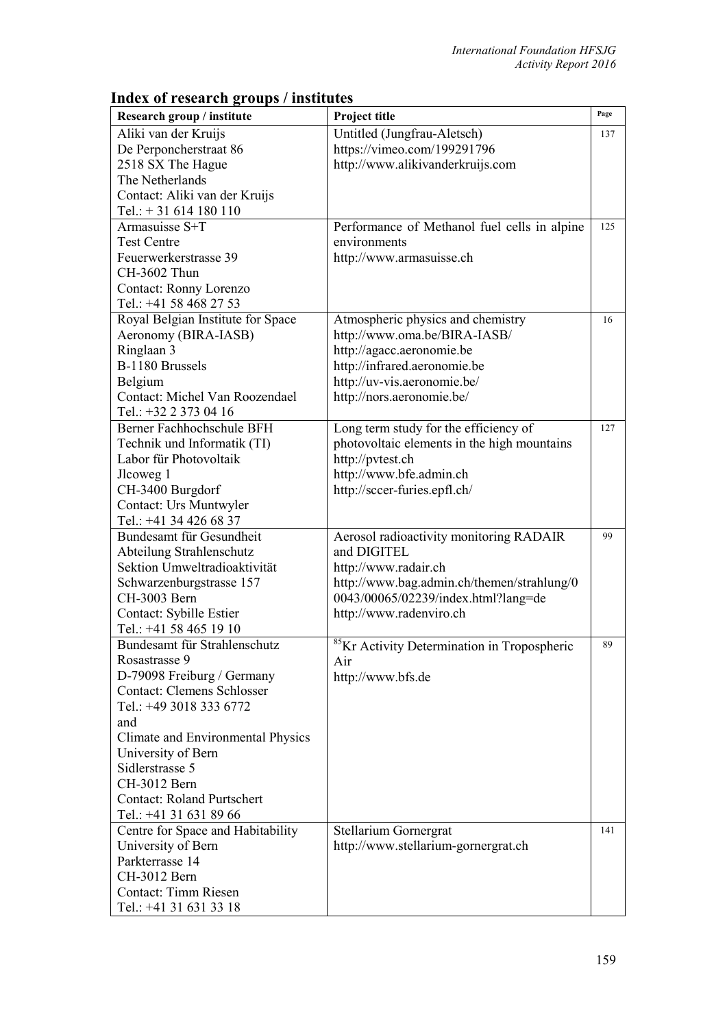| Research group / institute        | Project title                                           | Page |
|-----------------------------------|---------------------------------------------------------|------|
| Aliki van der Kruijs              | Untitled (Jungfrau-Aletsch)                             | 137  |
| De Perponcherstraat 86            | https://vimeo.com/199291796                             |      |
| 2518 SX The Hague                 | http://www.alikivanderkruijs.com                        |      |
| The Netherlands                   |                                                         |      |
| Contact: Aliki van der Kruijs     |                                                         |      |
| Tel.: $+31614180110$              |                                                         |      |
| Armasuisse S+T                    | Performance of Methanol fuel cells in alpine            | 125  |
| <b>Test Centre</b>                | environments                                            |      |
| Feuerwerkerstrasse 39             | http://www.armasuisse.ch                                |      |
| CH-3602 Thun                      |                                                         |      |
| Contact: Ronny Lorenzo            |                                                         |      |
| Tel.: +41 58 468 27 53            |                                                         |      |
| Royal Belgian Institute for Space | Atmospheric physics and chemistry                       | 16   |
| Aeronomy (BIRA-IASB)              | http://www.oma.be/BIRA-IASB/                            |      |
| Ringlaan 3                        | http://agacc.aeronomie.be                               |      |
| B-1180 Brussels                   | http://infrared.aeronomie.be                            |      |
| Belgium                           | http://uv-vis.aeronomie.be/                             |      |
| Contact: Michel Van Roozendael    | http://nors.aeronomie.be/                               |      |
| Tel.: +32 2 373 04 16             |                                                         |      |
| Berner Fachhochschule BFH         | Long term study for the efficiency of                   | 127  |
| Technik und Informatik (TI)       | photovoltaic elements in the high mountains             |      |
| Labor für Photovoltaik            | http://pvtest.ch                                        |      |
| Jlcoweg 1                         | http://www.bfe.admin.ch                                 |      |
| CH-3400 Burgdorf                  | http://sccer-furies.epfl.ch/                            |      |
| Contact: Urs Muntwyler            |                                                         |      |
| Tel.: +41 34 426 68 37            |                                                         |      |
| Bundesamt für Gesundheit          | Aerosol radioactivity monitoring RADAIR                 | 99   |
| Abteilung Strahlenschutz          | and DIGITEL                                             |      |
| Sektion Umweltradioaktivität      | http://www.radair.ch                                    |      |
| Schwarzenburgstrasse 157          | http://www.bag.admin.ch/themen/strahlung/0              |      |
| CH-3003 Bern                      | 0043/00065/02239/index.html?lang=de                     |      |
| Contact: Sybille Estier           | http://www.radenviro.ch                                 |      |
| Tel.: +41 58 465 19 10            |                                                         |      |
| Bundesamt für Strahlenschutz      | <sup>85</sup> Kr Activity Determination in Tropospheric | 89   |
| Rosastrasse 9                     | Air                                                     |      |
| D-79098 Freiburg / Germany        | http://www.bfs.de                                       |      |
| <b>Contact: Clemens Schlosser</b> |                                                         |      |
| Tel.: +49 3018 333 6772           |                                                         |      |
| and                               |                                                         |      |
| Climate and Environmental Physics |                                                         |      |
| University of Bern                |                                                         |      |
| Sidlerstrasse 5                   |                                                         |      |
| CH-3012 Bern                      |                                                         |      |
| <b>Contact: Roland Purtschert</b> |                                                         |      |
| Tel.: +41 31 631 89 66            |                                                         |      |
| Centre for Space and Habitability | Stellarium Gornergrat                                   | 141  |
| University of Bern                | http://www.stellarium-gornergrat.ch                     |      |
| Parkterrasse 14                   |                                                         |      |
| CH-3012 Bern                      |                                                         |      |
| Contact: Timm Riesen              |                                                         |      |
| Tel.: +41 31 631 33 18            |                                                         |      |

## **Index of research groups / institutes**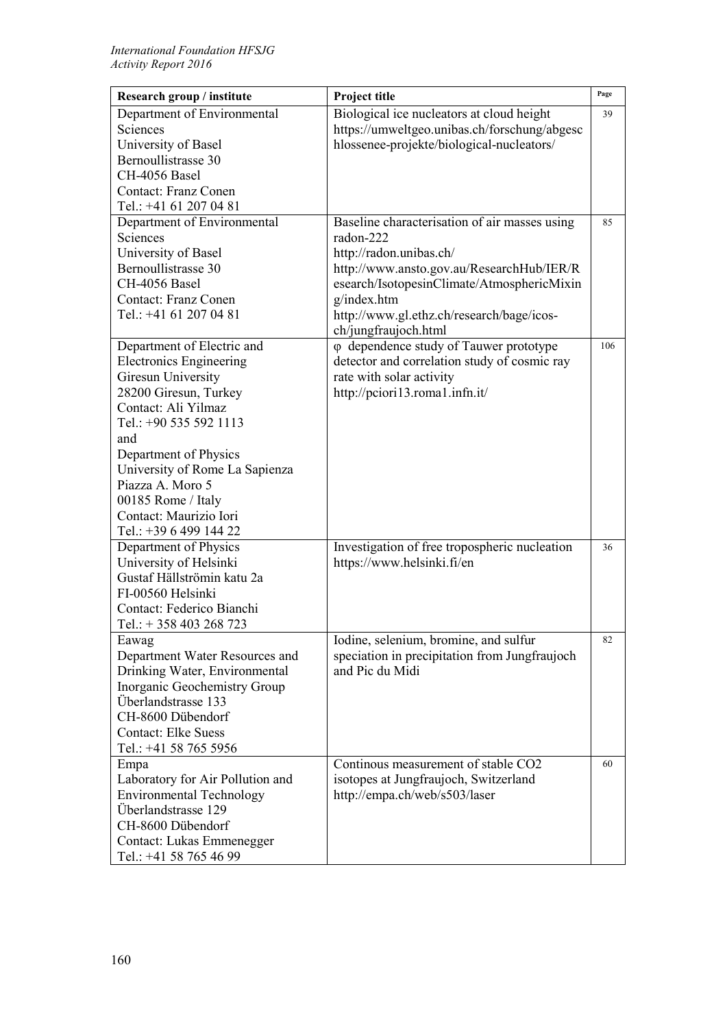| Research group / institute                             | Project title                                 | Page |
|--------------------------------------------------------|-----------------------------------------------|------|
| Department of Environmental                            | Biological ice nucleators at cloud height     | 39   |
| Sciences                                               | https://umweltgeo.unibas.ch/forschung/abgesc  |      |
| University of Basel                                    | hlossenee-projekte/biological-nucleators/     |      |
| Bernoullistrasse 30                                    |                                               |      |
| CH-4056 Basel                                          |                                               |      |
| <b>Contact: Franz Conen</b>                            |                                               |      |
| Tel.: +41 61 207 04 81                                 |                                               |      |
| Department of Environmental                            | Baseline characterisation of air masses using | 85   |
| Sciences                                               | radon-222                                     |      |
| University of Basel                                    | http://radon.unibas.ch/                       |      |
| Bernoullistrasse 30                                    | http://www.ansto.gov.au/ResearchHub/IER/R     |      |
| CH-4056 Basel                                          | esearch/IsotopesinClimate/AtmosphericMixin    |      |
| <b>Contact: Franz Conen</b>                            | g/index.htm                                   |      |
| Tel.: +41 61 207 04 81                                 | http://www.gl.ethz.ch/research/bage/icos-     |      |
|                                                        | ch/jungfraujoch.html                          |      |
| Department of Electric and                             | φ dependence study of Tauwer prototype        | 106  |
| <b>Electronics Engineering</b>                         | detector and correlation study of cosmic ray  |      |
| Giresun University                                     | rate with solar activity                      |      |
| 28200 Giresun, Turkey                                  | http://pciori13.roma1.infn.it/                |      |
| Contact: Ali Yilmaz                                    |                                               |      |
| Tel.: +90 535 592 1113                                 |                                               |      |
| and                                                    |                                               |      |
| Department of Physics                                  |                                               |      |
| University of Rome La Sapienza                         |                                               |      |
| Piazza A. Moro 5                                       |                                               |      |
| 00185 Rome / Italy                                     |                                               |      |
| Contact: Maurizio Iori                                 |                                               |      |
| Tel.: +39 6 499 144 22                                 |                                               |      |
| Department of Physics                                  | Investigation of free tropospheric nucleation | 36   |
| University of Helsinki                                 | https://www.helsinki.fi/en                    |      |
| Gustaf Hällströmin katu 2a                             |                                               |      |
| FI-00560 Helsinki                                      |                                               |      |
| Contact: Federico Bianchi                              |                                               |      |
| Tel.: $+358403268723$                                  |                                               |      |
| Eawag                                                  | Iodine, selenium, bromine, and sulfur         | 82   |
| Department Water Resources and                         | speciation in precipitation from Jungfraujoch |      |
| Drinking Water, Environmental                          | and Pic du Midi                               |      |
| Inorganic Geochemistry Group                           |                                               |      |
| Überlandstrasse 133                                    |                                               |      |
| CH-8600 Dübendorf                                      |                                               |      |
| <b>Contact: Elke Suess</b>                             |                                               |      |
| Tel.: +41 58 765 5956                                  | Continous measurement of stable CO2           |      |
| Empa                                                   |                                               | 60   |
| Laboratory for Air Pollution and                       | isotopes at Jungfraujoch, Switzerland         |      |
| <b>Environmental Technology</b><br>Überlandstrasse 129 | http://empa.ch/web/s503/laser                 |      |
| CH-8600 Dübendorf                                      |                                               |      |
| Contact: Lukas Emmenegger                              |                                               |      |
| Tel.: +41 58 765 46 99                                 |                                               |      |
|                                                        |                                               |      |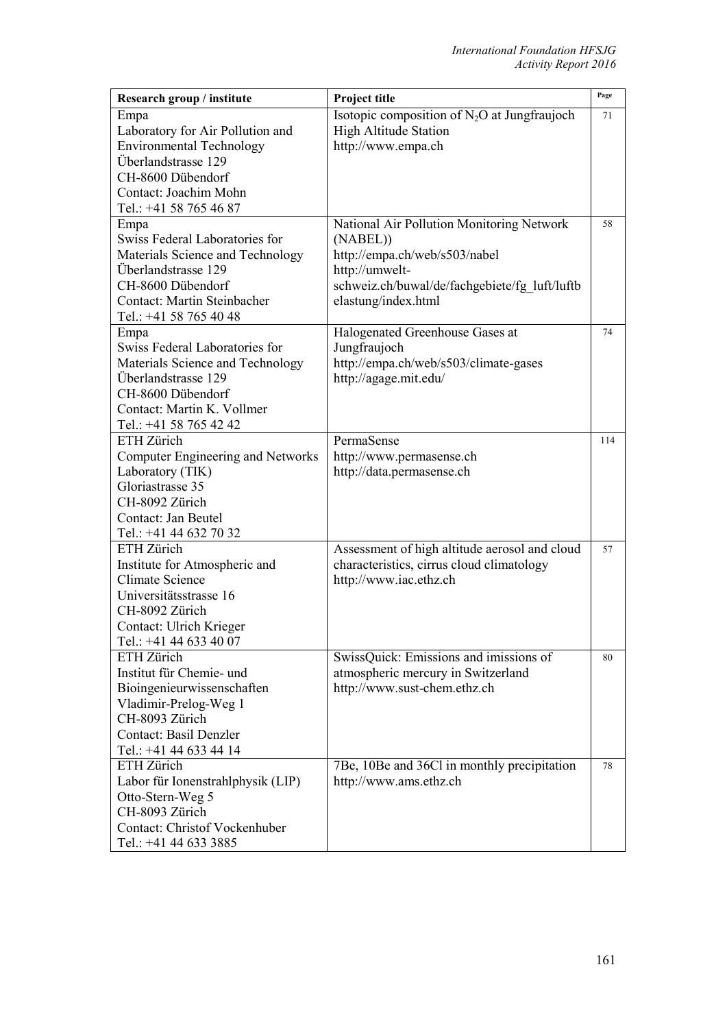| Research group / institute               | Project title                                  | Page |
|------------------------------------------|------------------------------------------------|------|
| Empa                                     | Isotopic composition of $N_2O$ at Jungfraujoch | 71   |
| Laboratory for Air Pollution and         | <b>High Altitude Station</b>                   |      |
| <b>Environmental Technology</b>          | http://www.empa.ch                             |      |
| Überlandstrasse 129                      |                                                |      |
| CH-8600 Dübendorf                        |                                                |      |
| Contact: Joachim Mohn                    |                                                |      |
| Tel.: +41 58 765 46 87                   |                                                |      |
| Empa                                     | National Air Pollution Monitoring Network      | 58   |
| Swiss Federal Laboratories for           | (NABEL))                                       |      |
| Materials Science and Technology         | http://empa.ch/web/s503/nabel                  |      |
| Überlandstrasse 129                      | http://umwelt-                                 |      |
| CH-8600 Dübendorf                        | schweiz.ch/buwal/de/fachgebiete/fg luft/luftb  |      |
| <b>Contact: Martin Steinbacher</b>       | elastung/index.html                            |      |
| Tel.: +41 58 765 40 48                   |                                                |      |
| Empa                                     | Halogenated Greenhouse Gases at                | 74   |
| Swiss Federal Laboratories for           | Jungfraujoch                                   |      |
| Materials Science and Technology         | http://empa.ch/web/s503/climate-gases          |      |
| Überlandstrasse 129                      | http://agage.mit.edu/                          |      |
| CH-8600 Dübendorf                        |                                                |      |
| Contact: Martin K. Vollmer               |                                                |      |
| Tel.: +41 58 765 42 42                   |                                                |      |
| ETH Zürich                               | PermaSense                                     | 114  |
| <b>Computer Engineering and Networks</b> | http://www.permasense.ch                       |      |
| Laboratory (TIK)                         | http://data.permasense.ch                      |      |
| Gloriastrasse 35                         |                                                |      |
| CH-8092 Zürich                           |                                                |      |
| Contact: Jan Beutel                      |                                                |      |
| Tel.: +41 44 632 70 32                   |                                                |      |
| ETH Zürich                               | Assessment of high altitude aerosol and cloud  | 57   |
| Institute for Atmospheric and            | characteristics, cirrus cloud climatology      |      |
| <b>Climate Science</b>                   | http://www.iac.ethz.ch                         |      |
| Universitätsstrasse 16                   |                                                |      |
| CH-8092 Zürich                           |                                                |      |
| Contact: Ulrich Krieger                  |                                                |      |
| Tel.: +41 44 633 40 07                   |                                                |      |
| ETH Zürich                               | SwissQuick: Emissions and imissions of         | 80   |
| Institut für Chemie- und                 | atmospheric mercury in Switzerland             |      |
| Bioingenieurwissenschaften               | http://www.sust-chem.ethz.ch                   |      |
| Vladimir-Prelog-Weg 1                    |                                                |      |
| CH-8093 Zürich                           |                                                |      |
| <b>Contact: Basil Denzler</b>            |                                                |      |
| Tel.: +41 44 633 44 14                   |                                                |      |
| ETH Zürich                               | 7Be, 10Be and 36Cl in monthly precipitation    | 78   |
| Labor für Ionenstrahlphysik (LIP)        | http://www.ams.ethz.ch                         |      |
| Otto-Stern-Weg 5                         |                                                |      |
| CH-8093 Zürich                           |                                                |      |
| <b>Contact: Christof Vockenhuber</b>     |                                                |      |
| Tel.: +41 44 633 3885                    |                                                |      |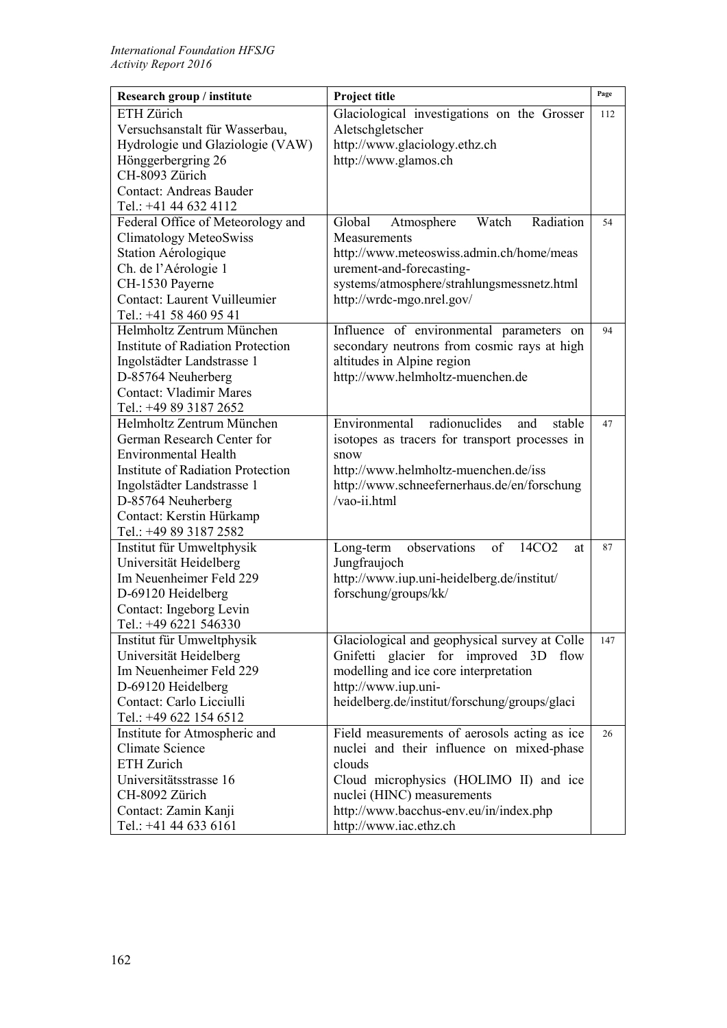| Research group / institute               | Project title                                              | Page |
|------------------------------------------|------------------------------------------------------------|------|
| ETH Zürich                               | Glaciological investigations on the Grosser                | 112  |
| Versuchsanstalt für Wasserbau,           | Aletschgletscher                                           |      |
| Hydrologie und Glaziologie (VAW)         | http://www.glaciology.ethz.ch                              |      |
| Hönggerbergring 26                       | http://www.glamos.ch                                       |      |
| CH-8093 Zürich                           |                                                            |      |
| <b>Contact: Andreas Bauder</b>           |                                                            |      |
| Tel.: +41 44 632 4112                    |                                                            |      |
| Federal Office of Meteorology and        | Watch<br>Radiation<br>Global<br>Atmosphere                 | 54   |
| <b>Climatology MeteoSwiss</b>            | Measurements                                               |      |
| Station Aérologique                      | http://www.meteoswiss.admin.ch/home/meas                   |      |
| Ch. de l'Aérologie 1                     | urement-and-forecasting-                                   |      |
| CH-1530 Payerne                          | systems/atmosphere/strahlungsmessnetz.html                 |      |
| Contact: Laurent Vuilleumier             | http://wrdc-mgo.nrel.gov/                                  |      |
| Tel.: +41 58 460 95 41                   |                                                            |      |
| Helmholtz Zentrum München                | Influence of environmental parameters on                   | 94   |
| <b>Institute of Radiation Protection</b> | secondary neutrons from cosmic rays at high                |      |
| Ingolstädter Landstrasse 1               | altitudes in Alpine region                                 |      |
| D-85764 Neuherberg                       | http://www.helmholtz-muenchen.de                           |      |
| <b>Contact: Vladimir Mares</b>           |                                                            |      |
| Tel.: +49 89 3187 2652                   |                                                            |      |
| Helmholtz Zentrum München                | radionuclides<br>Environmental<br>and<br>stable            | 47   |
| German Research Center for               | isotopes as tracers for transport processes in             |      |
| <b>Environmental Health</b>              | snow                                                       |      |
| <b>Institute of Radiation Protection</b> | http://www.helmholtz-muenchen.de/iss                       |      |
| Ingolstädter Landstrasse 1               | http://www.schneefernerhaus.de/en/forschung                |      |
| D-85764 Neuherberg                       | /vao-ii.html                                               |      |
| Contact: Kerstin Hürkamp                 |                                                            |      |
| Tel.: +49 89 3187 2582                   |                                                            |      |
| Institut für Umweltphysik                | observations<br>of<br>14CO <sub>2</sub><br>Long-term<br>at | 87   |
| Universität Heidelberg                   | Jungfraujoch                                               |      |
| Im Neuenheimer Feld 229                  | http://www.iup.uni-heidelberg.de/institut/                 |      |
| D-69120 Heidelberg                       | forschung/groups/kk/                                       |      |
| Contact: Ingeborg Levin                  |                                                            |      |
| Tel.: +49 6221 546330                    |                                                            |      |
| Institut für Umweltphysik                | Glaciological and geophysical survey at Colle              | 147  |
| Universität Heidelberg                   | Gnifetti glacier for improved 3D<br>flow                   |      |
| Im Neuenheimer Feld 229                  | modelling and ice core interpretation                      |      |
| D-69120 Heidelberg                       | http://www.iup.uni-                                        |      |
| Contact: Carlo Licciulli                 | heidelberg.de/institut/forschung/groups/glaci              |      |
| Tel.: +49 622 154 6512                   |                                                            |      |
| Institute for Atmospheric and            | Field measurements of aerosols acting as ice               | 26   |
| Climate Science                          | nuclei and their influence on mixed-phase                  |      |
| ETH Zurich                               | clouds                                                     |      |
| Universitätsstrasse 16                   | Cloud microphysics (HOLIMO II) and ice                     |      |
| CH-8092 Zürich                           | nuclei (HINC) measurements                                 |      |
| Contact: Zamin Kanji                     | http://www.bacchus-env.eu/in/index.php                     |      |
| Tel.: +41 44 633 6161                    | http://www.iac.ethz.ch                                     |      |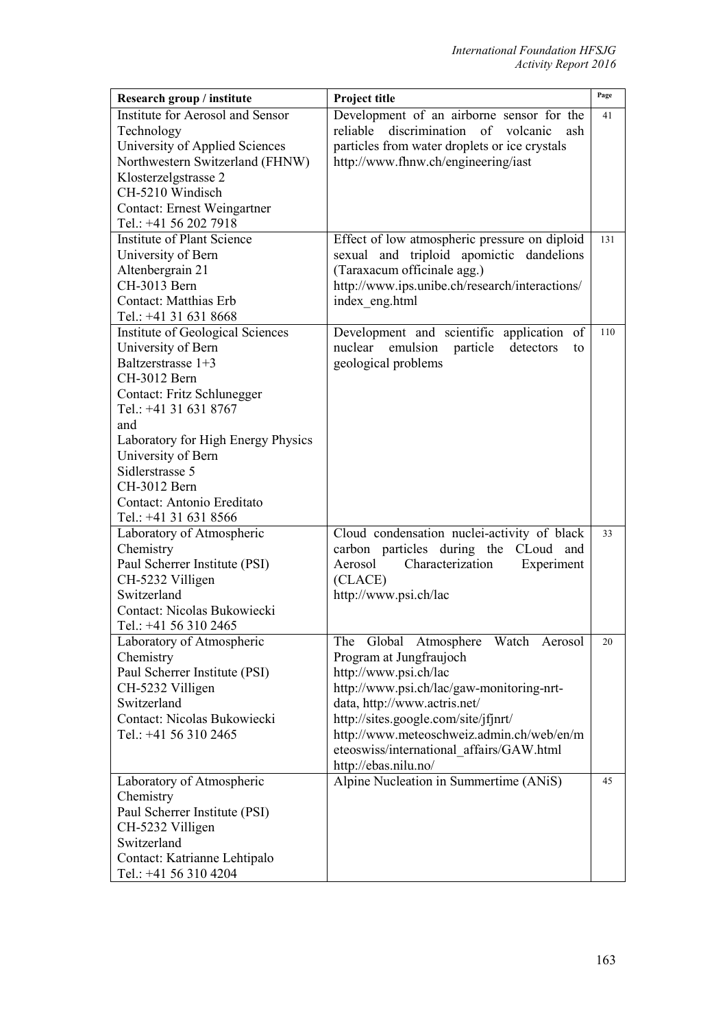| Research group / institute                             | Project title                                                                 | Page |
|--------------------------------------------------------|-------------------------------------------------------------------------------|------|
| Institute for Aerosol and Sensor                       | Development of an airborne sensor for the                                     | 41   |
| Technology                                             | discrimination of volcanic<br>reliable<br>ash                                 |      |
| University of Applied Sciences                         | particles from water droplets or ice crystals                                 |      |
| Northwestern Switzerland (FHNW)                        | http://www.fhnw.ch/engineering/iast                                           |      |
| Klosterzelgstrasse 2                                   |                                                                               |      |
| CH-5210 Windisch                                       |                                                                               |      |
| Contact: Ernest Weingartner                            |                                                                               |      |
| Tel.: +41 56 202 7918                                  |                                                                               |      |
| <b>Institute of Plant Science</b>                      | Effect of low atmospheric pressure on diploid                                 | 131  |
| University of Bern                                     | sexual and triploid apomictic dandelions                                      |      |
| Altenbergrain 21                                       | (Taraxacum officinale agg.)                                                   |      |
| CH-3013 Bern                                           | http://www.ips.unibe.ch/research/interactions/                                |      |
| Contact: Matthias Erb                                  | index eng.html                                                                |      |
| Tel.: +41 31 631 8668                                  |                                                                               |      |
| Institute of Geological Sciences<br>University of Bern | Development and scientific application of<br>nuclear<br>emulsion<br>detectors | 110  |
| Baltzerstrasse 1+3                                     | particle<br>to                                                                |      |
| CH-3012 Bern                                           | geological problems                                                           |      |
| Contact: Fritz Schlunegger                             |                                                                               |      |
| Tel.: +41 31 631 8767                                  |                                                                               |      |
| and                                                    |                                                                               |      |
| Laboratory for High Energy Physics                     |                                                                               |      |
| University of Bern                                     |                                                                               |      |
| Sidlerstrasse 5                                        |                                                                               |      |
| CH-3012 Bern                                           |                                                                               |      |
| Contact: Antonio Ereditato                             |                                                                               |      |
| Tel.: +41 31 631 8566                                  |                                                                               |      |
| Laboratory of Atmospheric                              | Cloud condensation nuclei-activity of black                                   | 33   |
| Chemistry                                              | carbon particles during the CLoud<br>and                                      |      |
| Paul Scherrer Institute (PSI)                          | Aerosol<br>Characterization<br>Experiment                                     |      |
| CH-5232 Villigen                                       | (CLACE)                                                                       |      |
| Switzerland                                            | http://www.psi.ch/lac                                                         |      |
| Contact: Nicolas Bukowiecki                            |                                                                               |      |
| Tel.: +41 56 310 2465                                  |                                                                               |      |
| Laboratory of Atmospheric                              | The Global Atmosphere Watch Aerosol                                           | 20   |
| Chemistry                                              | Program at Jungfraujoch                                                       |      |
| Paul Scherrer Institute (PSI)                          | http://www.psi.ch/lac                                                         |      |
| CH-5232 Villigen                                       | http://www.psi.ch/lac/gaw-monitoring-nrt-                                     |      |
| Switzerland                                            | data, http://www.actris.net/                                                  |      |
| Contact: Nicolas Bukowiecki                            | http://sites.google.com/site/jfjnrt/                                          |      |
| Tel.: +41 56 310 2465                                  | http://www.meteoschweiz.admin.ch/web/en/m                                     |      |
|                                                        | eteoswiss/international affairs/GAW.html<br>http://ebas.nilu.no/              |      |
| Laboratory of Atmospheric                              | Alpine Nucleation in Summertime (ANiS)                                        | 45   |
| Chemistry                                              |                                                                               |      |
| Paul Scherrer Institute (PSI)                          |                                                                               |      |
| CH-5232 Villigen                                       |                                                                               |      |
| Switzerland                                            |                                                                               |      |
| Contact: Katrianne Lehtipalo                           |                                                                               |      |
| Tel.: +41 56 310 4204                                  |                                                                               |      |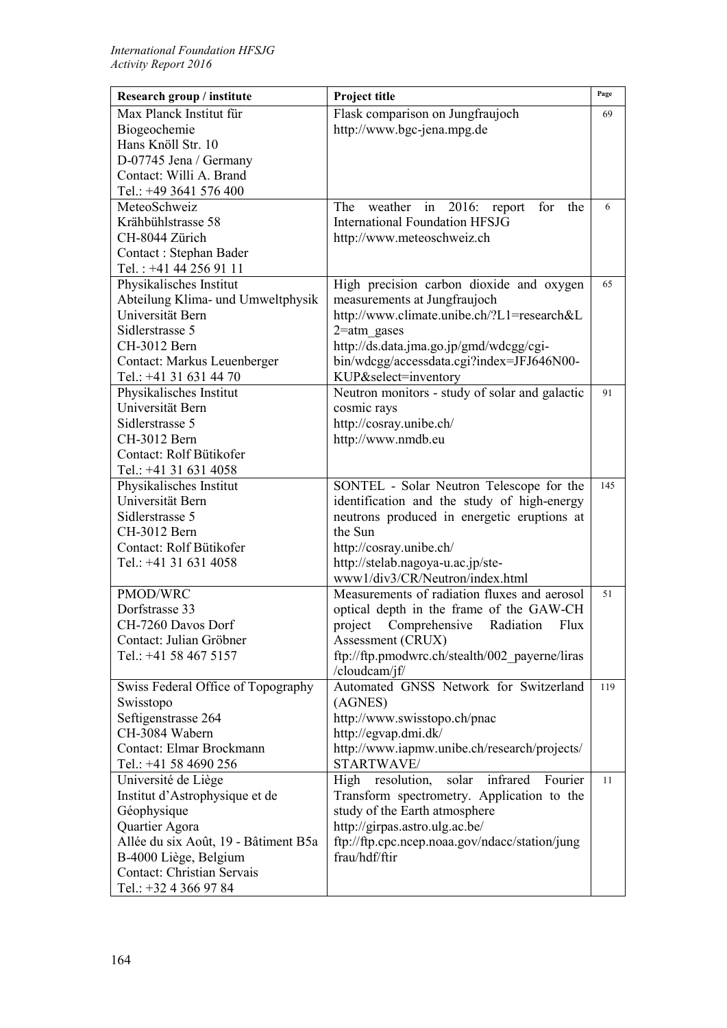| Research group / institute           | Project title                                         | Page |
|--------------------------------------|-------------------------------------------------------|------|
| Max Planck Institut für              | Flask comparison on Jungfraujoch                      | 69   |
| Biogeochemie                         | http://www.bgc-jena.mpg.de                            |      |
| Hans Knöll Str. 10                   |                                                       |      |
| D-07745 Jena / Germany               |                                                       |      |
| Contact: Willi A. Brand              |                                                       |      |
| Tel.: +49 3641 576 400               |                                                       |      |
| MeteoSchweiz                         | The<br>weather<br>in $2016$ :<br>report<br>for<br>the | 6    |
| Krähbühlstrasse 58                   | <b>International Foundation HFSJG</b>                 |      |
| CH-8044 Zürich                       | http://www.meteoschweiz.ch                            |      |
| Contact: Stephan Bader               |                                                       |      |
| Tel.: +41 44 256 91 11               |                                                       |      |
| Physikalisches Institut              | High precision carbon dioxide and oxygen              | 65   |
| Abteilung Klima- und Umweltphysik    | measurements at Jungfraujoch                          |      |
| Universität Bern                     | http://www.climate.unibe.ch/?L1=research&L            |      |
| Sidlerstrasse 5                      | $2$ =atm gases                                        |      |
| CH-3012 Bern                         | http://ds.data.jma.go.jp/gmd/wdcgg/cgi-               |      |
| Contact: Markus Leuenberger          | bin/wdcgg/accessdata.cgi?index=JFJ646N00-             |      |
| Tel.: +41 31 631 44 70               | KUP&select=inventory                                  |      |
| Physikalisches Institut              | Neutron monitors - study of solar and galactic        | 91   |
| Universität Bern                     | cosmic rays                                           |      |
| Sidlerstrasse 5                      | http://cosray.unibe.ch/                               |      |
| CH-3012 Bern                         | http://www.nmdb.eu                                    |      |
| Contact: Rolf Bütikofer              |                                                       |      |
| Tel.: +41 31 631 4058                |                                                       |      |
| Physikalisches Institut              | SONTEL - Solar Neutron Telescope for the              | 145  |
| Universität Bern                     | identification and the study of high-energy           |      |
| Sidlerstrasse 5                      | neutrons produced in energetic eruptions at           |      |
| CH-3012 Bern                         | the Sun                                               |      |
| Contact: Rolf Bütikofer              | http://cosray.unibe.ch/                               |      |
| Tel.: +41 31 631 4058                | http://stelab.nagoya-u.ac.jp/ste-                     |      |
|                                      | www1/div3/CR/Neutron/index.html                       |      |
| PMOD/WRC                             | Measurements of radiation fluxes and aerosol          | 51   |
| Dorfstrasse 33                       | optical depth in the frame of the GAW-CH              |      |
| CH-7260 Davos Dorf                   | Comprehensive<br>Radiation<br>project<br>Flux         |      |
| Contact: Julian Gröbner              | Assessment (CRUX)                                     |      |
| Tel.: +41 58 467 5157                | ftp://ftp.pmodwrc.ch/stealth/002 payerne/liras        |      |
|                                      | /cloudcam/jf/                                         |      |
| Swiss Federal Office of Topography   | Automated GNSS Network for Switzerland                | 119  |
| Swisstopo                            | (AGNES)                                               |      |
| Seftigenstrasse 264                  | http://www.swisstopo.ch/pnac                          |      |
| CH-3084 Wabern                       | http://egvap.dmi.dk/                                  |      |
| Contact: Elmar Brockmann             | http://www.iapmw.unibe.ch/research/projects/          |      |
| Tel.: +41 58 4690 256                | STARTWAVE/                                            |      |
| Université de Liège                  | solar<br>infrared<br>High resolution,<br>Fourier      | 11   |
| Institut d'Astrophysique et de       | Transform spectrometry. Application to the            |      |
| Géophysique                          | study of the Earth atmosphere                         |      |
| Quartier Agora                       | http://girpas.astro.ulg.ac.be/                        |      |
| Allée du six Août, 19 - Bâtiment B5a | ftp://ftp.cpc.ncep.noaa.gov/ndacc/station/jung        |      |
| B-4000 Liège, Belgium                | frau/hdf/ftir                                         |      |
| <b>Contact: Christian Servais</b>    |                                                       |      |
| Tel.: +32 4 366 97 84                |                                                       |      |